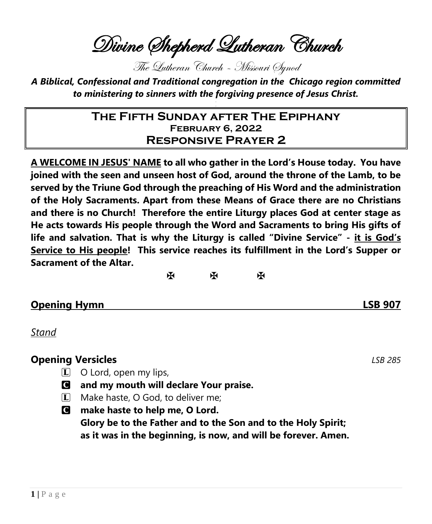Divine Shepherd Lutheran Church

The Lutheran Church – Missouri Synod

*A Biblical, Confessional and Traditional congregation in the Chicago region committed to ministering to sinners with the forgiving presence of Jesus Christ.*

## **The Fifth Sunday after The Epiphany February 6, 2022 Responsive Prayer 2**

**A WELCOME IN JESUS' NAME to all who gather in the Lord's House today. You have joined with the seen and unseen host of God, around the throne of the Lamb, to be served by the Triune God through the preaching of His Word and the administration of the Holy Sacraments. Apart from these Means of Grace there are no Christians and there is no Church! Therefore the entire Liturgy places God at center stage as He acts towards His people through the Word and Sacraments to bring His gifts of life and salvation. That is why the Liturgy is called "Divine Service" - it is God's Service to His people! This service reaches its fulfillment in the Lord's Supper or Sacrament of the Altar.**

 $\mathbb{R}$  and  $\mathbb{R}$ 

### **Opening Hymn LSB 907**

*Stand*

### **Opening Versicles** *LSB 285*

- $\Box$  O Lord, open my lips,
- C **and my mouth will declare Your praise.**
- $\Box$  Make haste, O God, to deliver me;
- C **make haste to help me, O Lord. Glory be to the Father and to the Son and to the Holy Spirit;**

**as it was in the beginning, is now, and will be forever. Amen.**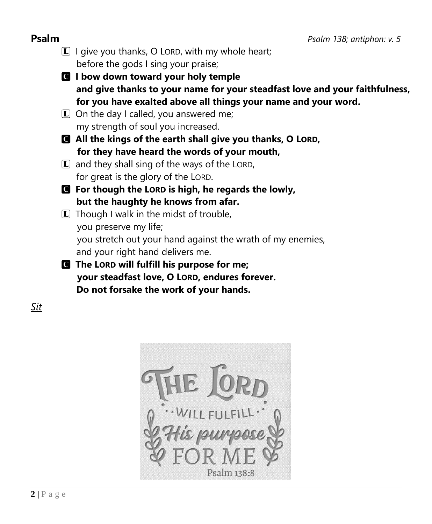- $\mathbb{L}$  I give you thanks, O LORD, with my whole heart; before the gods I sing your praise;
- C **I bow down toward your holy temple and give thanks to your name for your steadfast love and your faithfulness, for you have exalted above all things your name and your word.**
- $\boxed{\mathbf{L}}$  On the day I called, you answered me; my strength of soul you increased.
- C **All the kings of the earth shall give you thanks, O LORD, for they have heard the words of your mouth,**
- $\mathbf{L}$  and they shall sing of the ways of the LORD, for great is the glory of the LORD.
- C **For though the LORD is high, he regards the lowly, but the haughty he knows from afar.**
- $\boxed{\mathbf{L}}$  Though I walk in the midst of trouble, you preserve my life; you stretch out your hand against the wrath of my enemies, and your right hand delivers me.
- C **The LORD will fulfill his purpose for me; your steadfast love, O LORD, endures forever. Do not forsake the work of your hands.**

*Sit*

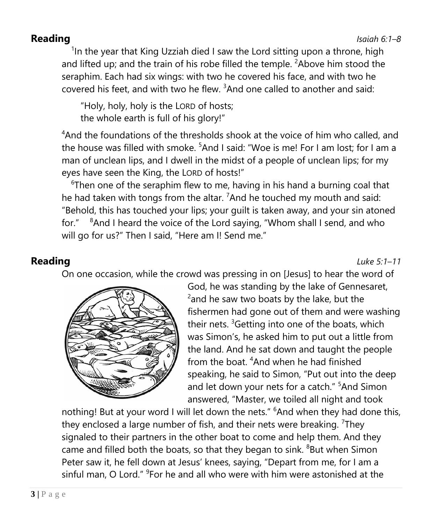### **Reading** *Isaiah 6:1–8*

<sup>1</sup>In the year that King Uzziah died I saw the Lord sitting upon a throne, high and lifted up; and the train of his robe filled the temple.  $2A$ bove him stood the seraphim. Each had six wings: with two he covered his face, and with two he covered his feet, and with two he flew. <sup>3</sup>And one called to another and said:

"Holy, holy, holy is the LORD of hosts; the whole earth is full of his glory!"

<sup>4</sup>And the foundations of the thresholds shook at the voice of him who called, and the house was filled with smoke. <sup>5</sup>And I said: "Woe is me! For I am lost: for I am a man of unclean lips, and I dwell in the midst of a people of unclean lips; for my eyes have seen the King, the LORD of hosts!"

 $6$ Then one of the seraphim flew to me, having in his hand a burning coal that he had taken with tongs from the altar. <sup>7</sup>And he touched my mouth and said: "Behold, this has touched your lips; your guilt is taken away, and your sin atoned for." <sup>8</sup>And I heard the voice of the Lord saying, "Whom shall I send, and who will go for us?" Then I said, "Here am I! Send me."

**Reading** *Luke 5:1–11*

On one occasion, while the crowd was pressing in on [Jesus] to hear the word of



God, he was standing by the lake of Gennesaret,  $2$ and he saw two boats by the lake, but the fishermen had gone out of them and were washing their nets. <sup>3</sup>Getting into one of the boats, which was Simon's, he asked him to put out a little from the land. And he sat down and taught the people from the boat. <sup>4</sup>And when he had finished speaking, he said to Simon, "Put out into the deep and let down your nets for a catch." <sup>5</sup>And Simon answered, "Master, we toiled all night and took

nothing! But at your word I will let down the nets." <sup>6</sup>And when they had done this, they enclosed a large number of fish, and their nets were breaking. <sup>7</sup>They signaled to their partners in the other boat to come and help them. And they came and filled both the boats, so that they began to sink. <sup>8</sup>But when Simon Peter saw it, he fell down at Jesus' knees, saying, "Depart from me, for I am a sinful man, O Lord." <sup>9</sup> For he and all who were with him were astonished at the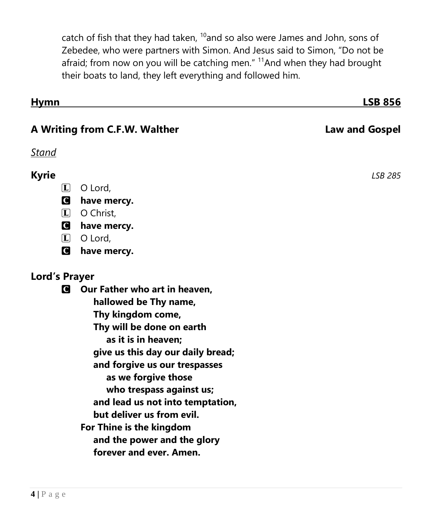catch of fish that they had taken,  $10$  and so also were James and John, sons of Zebedee, who were partners with Simon. And Jesus said to Simon, "Do not be afraid; from now on you will be catching men." <sup>11</sup>And when they had brought their boats to land, they left everything and followed him.

| <u>Hymn</u>                   |                                                        | <b>LSB 856</b>        |
|-------------------------------|--------------------------------------------------------|-----------------------|
| A Writing from C.F.W. Walther |                                                        | <b>Law and Gospel</b> |
| <u>Stand</u>                  |                                                        |                       |
| <b>Kyrie</b>                  |                                                        | <b>LSB 285</b>        |
| $\boxed{\mathbf{L}}$          | O Lord,                                                |                       |
| O                             | have mercy.                                            |                       |
| $\boxed{\mathbf{L}}$          | O Christ,                                              |                       |
| Q.                            | have mercy.                                            |                       |
| $\mathbf{L}$                  | O Lord,                                                |                       |
| Q                             | have mercy.                                            |                       |
| <b>Lord's Prayer</b>          |                                                        |                       |
| $\mathbf C$                   | Our Father who art in heaven,                          |                       |
|                               | hallowed be Thy name,                                  |                       |
|                               | Thy kingdom come,                                      |                       |
|                               | Thy will be done on earth                              |                       |
|                               | as it is in heaven;                                    |                       |
|                               | give us this day our daily bread;                      |                       |
|                               | and forgive us our trespasses                          |                       |
|                               | as we forgive those                                    |                       |
|                               | who trespass against us;                               |                       |
|                               | and lead us not into temptation,                       |                       |
|                               | but deliver us from evil.                              |                       |
|                               | For Thine is the kingdom                               |                       |
|                               | and the power and the glory<br>forever and ever. Amen. |                       |
|                               |                                                        |                       |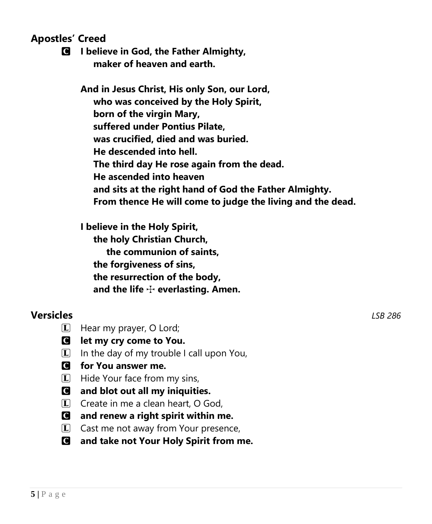**Apostles' Creed**

C **I believe in God, the Father Almighty, maker of heaven and earth.**

**And in Jesus Christ, His only Son, our Lord, who was conceived by the Holy Spirit, born of the virgin Mary, suffered under Pontius Pilate, was crucified, died and was buried. He descended into hell. The third day He rose again from the dead. He ascended into heaven and sits at the right hand of God the Father Almighty. From thence He will come to judge the living and the dead.**

**I believe in the Holy Spirit, the holy Christian Church, the communion of saints, the forgiveness of sins, the resurrection of the body, and the life** T **everlasting. Amen.**

## **Versicles** *LSB 286*

- L Hear my prayer, O Lord;
- C **let my cry come to You.**
- $\Box$  In the day of my trouble I call upon You,
- C **for You answer me.**
- **L** Hide Your face from my sins,
- C **and blot out all my iniquities.**
- $\Box$  Create in me a clean heart, O God.
- C **and renew a right spirit within me.**
- $\boxed{\mathbf{L}}$  Cast me not away from Your presence,
- C **and take not Your Holy Spirit from me.**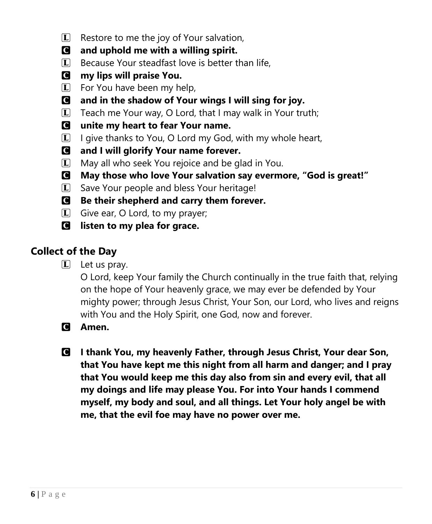- $\boxed{\mathbf{L}}$  Restore to me the joy of Your salvation,
- C **and uphold me with a willing spirit.**
- $\vert \mathbf{L} \vert$  Because Your steadfast love is better than life,
- C **my lips will praise You.**
- $\overline{L}$  For You have been my help,
- C **and in the shadow of Your wings I will sing for joy.**
- $\Box$  Teach me Your way, O Lord, that I may walk in Your truth;
- C **unite my heart to fear Your name.**
- $\Box$  I give thanks to You, O Lord my God, with my whole heart,
- C **and I will glorify Your name forever.**
- $\Box$  May all who seek You rejoice and be glad in You.
- C **May those who love Your salvation say evermore, "God is great!"**
- L Save Your people and bless Your heritage!
- C **Be their shepherd and carry them forever.**
- L Give ear, O Lord, to my prayer;
- C **listen to my plea for grace.**

# **Collect of the Day**

 $\boxed{\mathbf{L}}$  Let us pray.

O Lord, keep Your family the Church continually in the true faith that, relying on the hope of Your heavenly grace, we may ever be defended by Your mighty power; through Jesus Christ, Your Son, our Lord, who lives and reigns with You and the Holy Spirit, one God, now and forever.

- C **Amen.**
- C **I thank You, my heavenly Father, through Jesus Christ, Your dear Son, that You have kept me this night from all harm and danger; and I pray that You would keep me this day also from sin and every evil, that all my doings and life may please You. For into Your hands I commend myself, my body and soul, and all things. Let Your holy angel be with me, that the evil foe may have no power over me.**